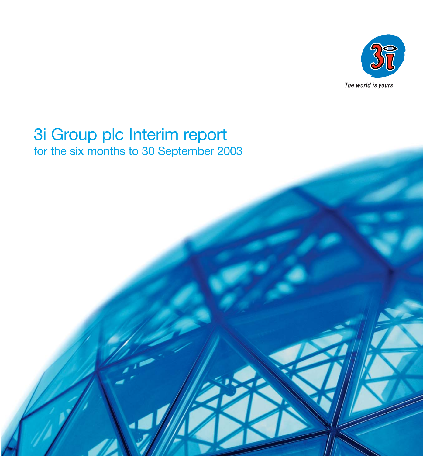

# 3i Group plc Interim report for the six months to 30 September 2003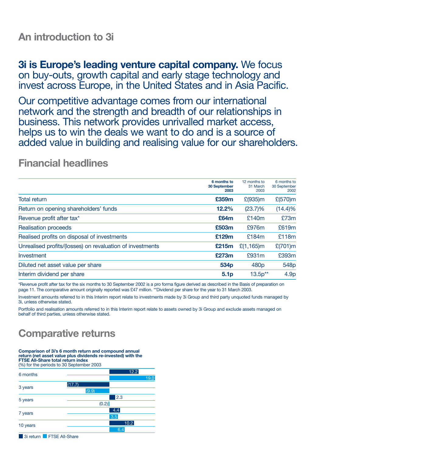### **An introduction to 3i**

**3i is Europe's leading venture capital company.** We focus on buy-outs, growth capital and early stage technology and invest across Europe, in the United States and in Asia Pacific.

Our competitive advantage comes from our international network and the strength and breadth of our relationships in business. This network provides unrivalled market access, helps us to win the deals we want to do and is a source of added value in building and realising value for our shareholders.

### **Financial headlines**

|                                                           | 6 months to<br>30 September<br>2003 | 12 months to<br>31 March<br>2003 | 6 months to<br>30 September<br>2002 |
|-----------------------------------------------------------|-------------------------------------|----------------------------------|-------------------------------------|
| <b>Total return</b>                                       | £359m                               | $E(935)$ m                       | $E(570)$ m                          |
| Return on opening shareholders' funds                     | 12.2%                               | $(23.7)\%$                       | $(14.4)\%$                          |
| Revenue profit after tax*                                 | £64m                                | £140m                            | £73m                                |
| <b>Realisation proceeds</b>                               | £503m                               | £976m                            | £619m                               |
| Realised profits on disposal of investments               | £129m                               | £184m                            | £118m                               |
| Unrealised profits/(losses) on revaluation of investments | £215m                               | £ $(1, 165)$ m                   | $E(701)$ m                          |
| Investment                                                | £273m                               | £931m                            | £393m                               |
| Diluted net asset value per share                         | 534 <sub>p</sub>                    | 480 <sub>p</sub>                 | 548p                                |
| Interim dividend per share                                | 5.1 <sub>p</sub>                    | $13.5p**$                        | 4.9 <sub>p</sub>                    |

\*Revenue profit after tax for the six months to 30 September 2002 is a pro forma figure derived as described in the Basis of preparation on page 11. The comparative amount originally reported was £47 million. \*\*Dividend per share for the year to 31 March 2003.

Investment amounts referred to in this Interim report relate to investments made by 3i Group and third party unquoted funds managed by 3i, unless otherwise stated.

Portfolio and realisation amounts referred to in this Interim report relate to assets owned by 3i Group and exclude assets managed on behalf of third parties, unless otherwise stated.

# **Comparative returns**

**Comparison of 3i's 6 month return and compound annual return (net asset value plus dividends re-invested) with the FTSE All-Share total return index**  (%) for the periods to 30 September 2003



3i return FTSE All-Share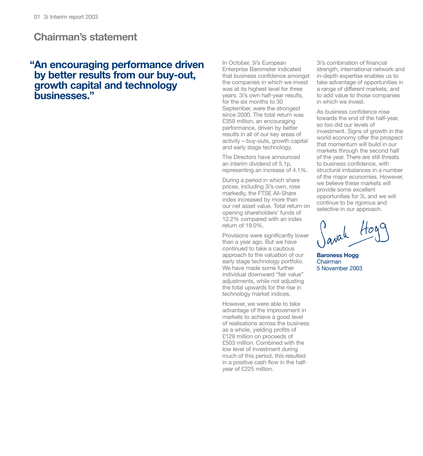### **Chairman's statement**

### **"An encouraging performance driven by better results from our buy-out, growth capital and technology businesses."**

In October, 3i's European Enterprise Barometer indicated that business confidence amongst the companies in which we invest was at its highest level for three years. 3i's own half-year results, for the six months to 30 September, were the strongest since 2000. The total return was £359 million, an encouraging performance, driven by better results in all of our key areas of activity – buy-outs, growth capital and early stage technology.

The Directors have announced an interim dividend of 5.1p, representing an increase of 4.1%.

During a period in which share prices, including 3i's own, rose markedly, the FTSE All-Share index increased by more than our net asset value. Total return on opening shareholders' funds of 12.2% compared with an index return of 19.0%.

Provisions were significantly lower than a year ago. But we have continued to take a cautious approach to the valuation of our early stage technology portfolio. We have made some further individual downward "fair value" adjustments, while not adjusting the total upwards for the rise in technology market indices.

However, we were able to take advantage of the improvement in markets to achieve a good level of realisations across the business as a whole, yielding profits of £129 million on proceeds of £503 million. Combined with the low level of investment during much of this period, this resulted in a positive cash flow in the halfyear of £225 million.

3i's combination of financial strength, international network and in-depth expertise enables us to take advantage of opportunities in a range of different markets, and to add value to those companies in which we invest.

As business confidence rose towards the end of the half-year, so too did our levels of investment. Signs of growth in the world economy offer the prospect that momentum will build in our markets through the second half of the year. There are still threats to business confidence, with structural imbalances in a number of the major economies. However, we believe these markets will provide some excellent opportunities for 3i, and we will continue to be rigorous and selective in our approach.

 $Hov$ 

**Baroness Hogg** Chairman 5 November 2003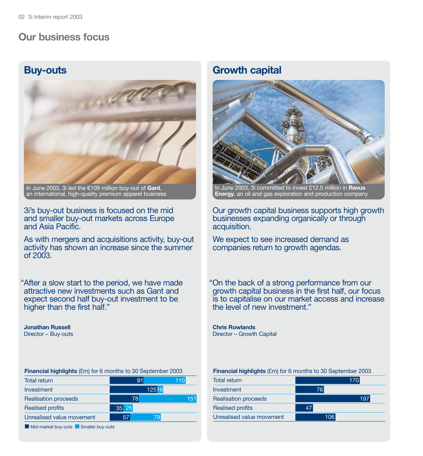### **Our business focus**

### **Buy-outs**



In June 2003, 3i led the €109 million buy-out of **Gant**, an international, high-quality premium apparel business

3i's buy-out business is focused on the mid and smaller buy-out markets across Europe and Asia Pacific.

As with mergers and acquisitions activity, buy-out activity has shown an increase since the summer  $of 2003$ 

"After a slow start to the period, we have made attractive new investments such as Gant and expect second half buy-out investment to be higher than the first half."

**Jonathan Russell** Director – Buy-outs

**Financial highlights** (£m) for 6 months to 30 September 2003

| <b>Total return</b>         | 91    | 110 I        |
|-----------------------------|-------|--------------|
| Investment                  |       | <b>12516</b> |
| <b>Realisation proceeds</b> | 78    | 151          |
| <b>Realised profits</b>     | 35 26 |              |
| Unrealised value movement   | 57    | 79           |

 $\blacksquare$  Mid-market buy-outs  $\blacksquare$  Smaller buy-outs

### **Growth capital**



In June 2003, 3i committed to invest £12.5 million in **Revus Energy**, an oil and gas exploration and production company

Our growth capital business supports high growth businesses expanding organically or through acquisition.

We expect to see increased demand as companies return to growth agendas.

"On the back of a strong performance from our growth capital business in the first half, our focus is to capitalise on our market access and increase the level of new investment."

**Chris Rowlands** Director – Growth Capital

#### **Financial highlights** (£m) for 6 months to 30 September 2003

| <b>Total return</b>         |     | 170 |
|-----------------------------|-----|-----|
| Investment                  | 76  |     |
| <b>Realisation proceeds</b> |     | 197 |
| <b>Realised profits</b>     | 47  |     |
| Unrealised value movement   | 106 |     |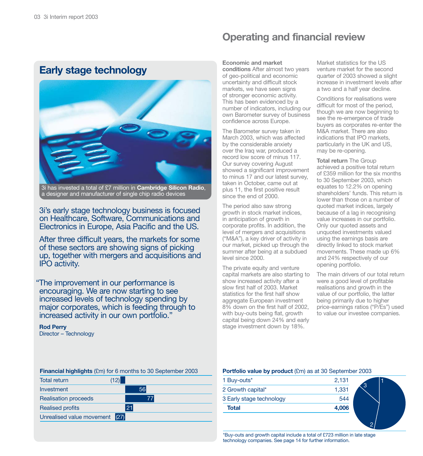## **Early stage technology**



3i has invested a total of £7 million in **Cambridge Silicon Radio**, a designer and manufacturer of single chip radio devices

3i's early stage technology business is focused on Healthcare, Software, Communications and Electronics in Europe, Asia Pacific and the US.

After three difficult years, the markets for some of these sectors are showing signs of picking up, together with mergers and acquisitions and IPO activity.

"The improvement in our performance is encouraging. We are now starting to see increased levels of technology spending by major corporates, which is feeding through to increased activity in our own portfolio."

**Rod Perry** Director – Technology

## **Operating and financial review**

#### **Economic and market**

**conditions** After almost two years of geo-political and economic uncertainty and difficult stock markets, we have seen signs of stronger economic activity. This has been evidenced by a number of indicators, including our own Barometer survey of business confidence across Europe.

The Barometer survey taken in March 2003, which was affected by the considerable anxiety over the Iraq war, produced a record low score of minus 117. Our survey covering August showed a significant improvement to minus 17 and our latest survey, taken in October, came out at plus 11, the first positive result since the end of 2000.

The period also saw strong growth in stock market indices, in anticipation of growth in corporate profits. In addition, the level of mergers and acquisitions ("M&A"), a key driver of activity in our market, picked up through the summer after being at a subdued level since 2000.

The private equity and venture capital markets are also starting to show increased activity after a slow first half of 2003. Market statistics for the first half show aggregate European investment 8% down on the first half of 2002, with buy-outs being flat, growth capital being down 24% and early stage investment down by 18%.

Market statistics for the US venture market for the second quarter of 2003 showed a slight increase in investment levels after a two and a half year decline.

Conditions for realisations were difficult for most of the period, though we are now beginning to see the re-emergence of trade buyers as corporates re-enter the M&A market. There are also indications that IPO markets, particularly in the UK and US, may be re-opening.

**Total return** The Group achieved a positive total return of £359 million for the six months to 30 September 2003, which equates to 12.2% on opening shareholders' funds. This return is lower than those on a number of quoted market indices, largely because of a lag in recognising value increases in our portfolio. Only our quoted assets and unquoted investments valued using the earnings basis are directly linked to stock market movements. These made up 6% and 24% respectively of our opening portfolio.

The main drivers of our total return were a good level of profitable realisations and growth in the value of our portfolio, the latter being primarily due to higher price-earnings ratios ("P/Es") used to value our investee companies.

2

#### **Financial highlights** (£m) for 6 months to 30 September 2003

| (12)                              |
|-----------------------------------|
| 56                                |
| 77                                |
| 21                                |
| (27)<br>Unrealised value movement |
|                                   |

#### **Portfolio value by product** (£m) as at 30 September 2003

| <b>Total</b>             | 4,006 |  |
|--------------------------|-------|--|
| 3 Early stage technology | 544   |  |
| 2 Growth capital*        | 1,331 |  |
| 1 Buy-outs <sup>*</sup>  | 2,131 |  |

\*Buy-outs and growth capital include a total of £723 million in late stage technology companies. See page 14 for further information.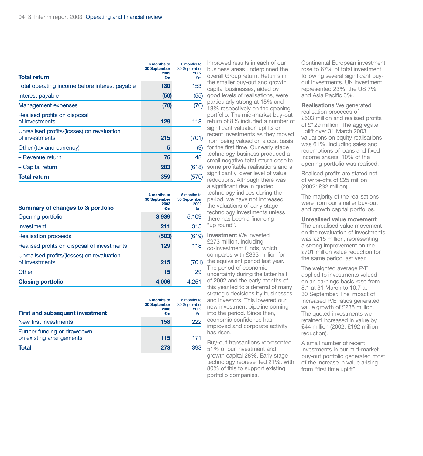|                                                              | 6 months to<br>30 September<br>2003 | 6 months to<br>30 September<br>2002 |
|--------------------------------------------------------------|-------------------------------------|-------------------------------------|
| <b>Total return</b>                                          | £m                                  | £m                                  |
| Total operating income before interest payable               | 130                                 | 153                                 |
| Interest payable                                             | (50)                                | (55)                                |
| Management expenses                                          | (70)                                | (76)                                |
| Realised profits on disposal<br>of investments               | 129                                 | 118                                 |
| Unrealised profits/(losses) on revaluation<br>of investments | 215                                 | (701)                               |
| Other (tax and currency)                                     | 5                                   | (9)                                 |
| - Revenue return                                             | 76                                  | 48                                  |
| - Capital return                                             | 283                                 | (618)                               |
| <b>Total return</b>                                          | 359                                 | (570)                               |

| Summary of changes to 3 portfolio                            | 6 months to<br>30 September<br>2003<br>£m | 6 months to<br>30 September<br>2002<br>£m |
|--------------------------------------------------------------|-------------------------------------------|-------------------------------------------|
| Opening portfolio                                            | 3,939                                     | 5,109                                     |
| Investment                                                   | 211                                       | 315                                       |
| <b>Realisation proceeds</b>                                  | (503)                                     | (619)                                     |
| Realised profits on disposal of investments                  | 129                                       | 118                                       |
| Unrealised profits/(losses) on revaluation<br>of investments | 215                                       | (701)                                     |
| Other                                                        | 15                                        | 29                                        |
| <b>Closing portfolio</b>                                     | 4.006                                     | 4.251                                     |

| <b>First and subsequent investment</b>                  | 6 months to<br>30 September<br>2003<br>£m | 6 months to<br>30 September<br>2002<br>£m |
|---------------------------------------------------------|-------------------------------------------|-------------------------------------------|
| New first investments                                   | 158                                       | 222                                       |
| Further funding or drawdown<br>on existing arrangements | 115                                       | 171                                       |
| Total                                                   | 273                                       | 393                                       |

Improved results in each of our business areas underpinned the overall Group return. Returns in the smaller buy-out and growth capital businesses, aided by good levels of realisations, were particularly strong at 15% and 13% respectively on the opening portfolio. The mid-market buy-out return of 8% included a number of significant valuation uplifts on recent investments as they moved from being valued on a cost basis for the first time. Our early stage technology business produced a small negative total return despite some profitable realisations and a significantly lower level of value reductions. Although there was a significant rise in quoted technology indices during the period, we have not increased the valuations of early stage technology investments unless there has been a financing "up round".

**Investment** We invested £273 million, including co-investment funds, which compares with £393 million for the equivalent period last year. The period of economic uncertainty during the latter half of 2002 and the early months of this year led to a deferral of many strategic decisions by businesses and investors. This lowered our new investment pipeline coming into the period. Since then, economic confidence has improved and corporate activity has risen.

Buy-out transactions represented 51% of our investment and growth capital 28%. Early stage technology represented 21%, with 80% of this to support existing portfolio companies.

Continental European investment rose to 67% of total investment following several significant buyout investments. UK investment represented 23%, the US 7% and Asia Pacific 3%.

**Realisations** We generated realisation proceeds of £503 million and realised profits of £129 million. The aggregate uplift over 31 March 2003 valuations on equity realisations was 61%. Including sales and redemptions of loans and fixed income shares, 10% of the opening portfolio was realised.

Realised profits are stated net of write-offs of £25 million (2002: £32 million).

The majority of the realisations were from our smaller buy-out and growth capital portfolios.

**Unrealised value movement**  The unrealised value movement

on the revaluation of investments was £215 million, representing a strong improvement on the £701 million value reduction for the same period last year.

The weighted average P/E applied to investments valued on an earnings basis rose from 8.1 at 31 March to 10.7 at 30 September. The impact of increased P/E ratios generated value growth of £235 million. The quoted investments we retained increased in value by £44 million (2002: £192 million reduction).

A small number of recent investments in our mid-market buy-out portfolio generated most of the increase in value arising from "first time uplift".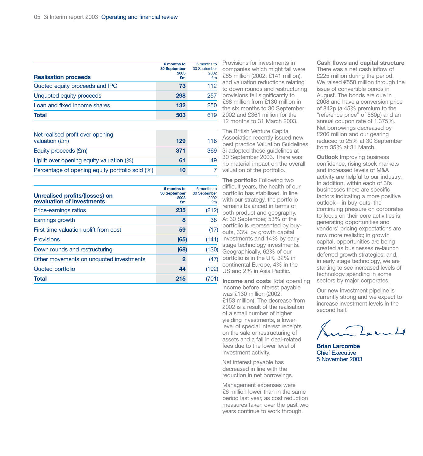| <b>Realisation proceeds</b>    | 6 months to<br>30 September<br>2003<br>£m | 6 months to<br>30 September<br>2002<br>£m |
|--------------------------------|-------------------------------------------|-------------------------------------------|
| Quoted equity proceeds and IPO | 73                                        | 112                                       |
| Unquoted equity proceeds       | 298                                       | 257                                       |
| Loan and fixed income shares   | 132                                       | 250                                       |
| <b>Total</b>                   | 503                                       | 619                                       |

| Net realised profit over opening<br>valuation (£m) | 129 | 118 |
|----------------------------------------------------|-----|-----|
| Equity proceeds (£m)                               | 371 | 369 |
| Uplift over opening equity valuation (%)           | 61  | 49  |
| Percentage of opening equity portfolio sold (%)    | 10  |     |

| <b>Unrealised profits/(losses) on</b><br>revaluation of investments | 6 months to<br>30 September<br>2003<br>£m | 6 months to<br>30 September<br>2002<br>£m |
|---------------------------------------------------------------------|-------------------------------------------|-------------------------------------------|
| Price-earnings ratios                                               | 235                                       | (212)                                     |
| Earnings growth                                                     | 8                                         | 38                                        |
| First time valuation uplift from cost                               | 59                                        | (17)                                      |
| <b>Provisions</b>                                                   | (65)                                      | (141)                                     |
| Down rounds and restructuring                                       | (68)                                      | (130)                                     |
| Other movements on unquoted investments                             | 2                                         | (47)                                      |
| Quoted portfolio                                                    | 44                                        | (192)                                     |
| <b>Total</b>                                                        | 215                                       | (701)                                     |

Provisions for investments in companies which might fail were £65 million (2002: £141 million), and valuation reductions relating to down rounds and restructuring provisions fell significantly to £68 million from £130 million in the six months to 30 September 2002 and £361 million for the 12 months to 31 March 2003.

The British Venture Capital Association recently issued new best practice Valuation Guidelines. 3i adopted these guidelines at 30 September 2003. There was no material impact on the overall valuation of the portfolio.

**The portfolio** Following two difficult years, the health of our portfolio has stabilised. In line with our strategy, the portfolio remains balanced in terms of both product and geography. At 30 September, 53% of the portfolio is represented by buyouts, 33% by growth capital investments and 14% by early stage technology investments. Geographically, 62% of our portfolio is in the UK, 32% in continental Europe, 4% in the US and 2% in Asia Pacific.

**Income and costs** Total operating income before interest payable was £130 million (2002: £153 million). The decrease from 2002 is a result of the realisation of a small number of higher yielding investments, a lower level of special interest receipts on the sale or restructuring of assets and a fall in deal-related fees due to the lower level of investment activity.

Net interest payable has decreased in line with the reduction in net borrowings.

Management expenses were £6 million lower than in the same period last year, as cost reduction measures taken over the past two years continue to work through.

#### **Cash flows and capital structure**

There was a net cash inflow of £225 million during the period. We raised €550 million through the issue of convertible bonds in August. The bonds are due in 2008 and have a conversion price of 842p (a 45% premium to the "reference price" of 580p) and an annual coupon rate of 1.375%. Net borrowings decreased by £206 million and our gearing reduced to 25% at 30 September from 35% at 31 March.

**Outlook** Improving business confidence, rising stock markets and increased levels of M&A activity are helpful to our industry. In addition, within each of 3i's businesses there are specific factors indicating a more positive outlook – in buy-outs, the continuing pressure on corporates to focus on their core activities is generating opportunities and vendors' pricing expectations are now more realistic; in growth capital, opportunities are being created as businesses re-launch deferred growth strategies; and, in early stage technology, we are starting to see increased levels of technology spending in some sectors by major corporates.

Our new investment pipeline is currently strong and we expect to increase investment levels in the second half.

 $2a$ ente

**Brian Larcombe**  Chief Executive 5 November 2003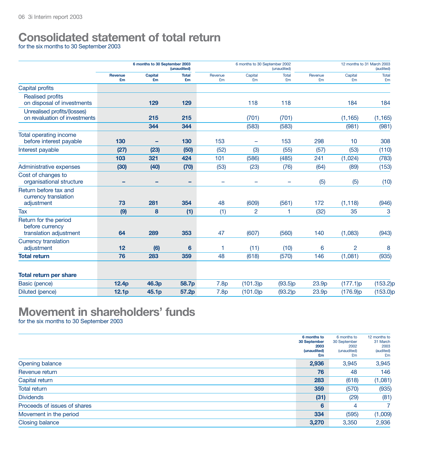# **Consolidated statement of total return**

for the six months to 30 September 2003

|                                                                                  | 6 months to 30 September 2003<br>(unaudited) |                      |                    | 6 months to 30 September 2002<br>(unaudited) |                          |                          | 12 months to 31 March 2003 |                | (audited)          |
|----------------------------------------------------------------------------------|----------------------------------------------|----------------------|--------------------|----------------------------------------------|--------------------------|--------------------------|----------------------------|----------------|--------------------|
|                                                                                  | Revenue<br>£m                                | <b>Capital</b><br>£m | <b>Total</b><br>£m | Revenue<br>£m                                | Capital<br>£m            | <b>Total</b><br>£m       | Revenue<br>£m              | Capital<br>£m  | <b>Total</b><br>£m |
| Capital profits                                                                  |                                              |                      |                    |                                              |                          |                          |                            |                |                    |
| <b>Realised profits</b><br>on disposal of investments                            |                                              | 129                  | 129                |                                              | 118                      | 118                      |                            | 184            | 184                |
| Unrealised profits/(losses)<br>on revaluation of investments                     |                                              | 215                  | 215                |                                              | (701)                    | (701)                    |                            | (1, 165)       | (1, 165)           |
|                                                                                  |                                              | 344                  | 344                |                                              | (583)                    | (583)                    |                            | (981)          | (981)              |
| Total operating income<br>before interest payable                                | 130                                          | -                    | 130                | 153                                          | -                        | 153                      | 298                        | 10             | 308                |
| Interest payable                                                                 | (27)                                         | (23)                 | (50)               | (52)                                         | (3)                      | (55)                     | (57)                       | (53)           | (110)              |
|                                                                                  | 103                                          | 321                  | 424                | 101                                          | (586)                    | (485)                    | 241                        | (1,024)        | (783)              |
| Administrative expenses                                                          | (30)                                         | (40)                 | (70)               | (53)                                         | (23)                     | (76)                     | (64)                       | (89)           | (153)              |
| Cost of changes to<br>organisational structure                                   | -                                            | -                    | -                  | $\overline{\phantom{0}}$                     | $\overline{\phantom{0}}$ | $\overline{\phantom{0}}$ | (5)                        | (5)            | (10)               |
| Return before tax and<br>currency translation                                    | 73                                           | 281                  |                    |                                              |                          |                          |                            |                |                    |
| adjustment                                                                       |                                              |                      | 354                | 48                                           | (609)                    | (561)<br>1               | 172                        | (1, 118)       | (946)              |
| <b>Tax</b><br>Return for the period<br>before currency<br>translation adjustment | (9)<br>64                                    | 8<br>289             | (1)<br>353         | (1)<br>47                                    | $\overline{c}$<br>(607)  | (560)                    | (32)<br>140                | 35<br>(1,083)  | 3<br>(943)         |
| <b>Currency translation</b><br>adjustment                                        | 12                                           | (6)                  | 6                  | 1                                            | (11)                     | (10)                     | 6                          | $\overline{2}$ | 8                  |
| <b>Total return</b>                                                              | 76                                           | 283                  | 359                | 48                                           | (618)                    | (570)                    | 146                        | (1,081)        | (935)              |
| <b>Total return per share</b>                                                    |                                              |                      |                    |                                              |                          |                          |                            |                |                    |
| Basic (pence)                                                                    | 12.4 <sub>p</sub>                            | 46.3p                | 58.7p              | 7.8p                                         | (101.3)p                 | (93.5)p                  | 23.9p                      | (177.1)p       | (153.2)p           |
| Diluted (pence)                                                                  | 12.1 <sub>p</sub>                            | 45.1p                | 57.2p              | 7.8 <sub>p</sub>                             | (101.0)p                 | (93.2)p                  | 23.9p                      | (176.9)p       | (153.0)p           |

# **Movement in shareholders' funds**

for the six months to 30 September 2003

|                              | 6 months to<br>30 September<br>2003<br>(unaudited)<br>£m | 6 months to<br>30 September<br>2002<br>(unaudited)<br>£m | 12 months to<br>31 March<br>2003<br>(audited)<br>£m |
|------------------------------|----------------------------------------------------------|----------------------------------------------------------|-----------------------------------------------------|
| Opening balance              | 2,936                                                    | 3,945                                                    | 3,945                                               |
| Revenue return               | 76                                                       | 48                                                       | 146                                                 |
| Capital return               | 283                                                      | (618)                                                    | (1,081)                                             |
| <b>Total return</b>          | 359                                                      | (570)                                                    | (935)                                               |
| <b>Dividends</b>             | (31)                                                     | (29)                                                     | (81)                                                |
| Proceeds of issues of shares | 6                                                        | 4                                                        |                                                     |
| Movement in the period       | 334                                                      | (595)                                                    | (1,009)                                             |
| <b>Closing balance</b>       | 3,270                                                    | 3,350                                                    | 2,936                                               |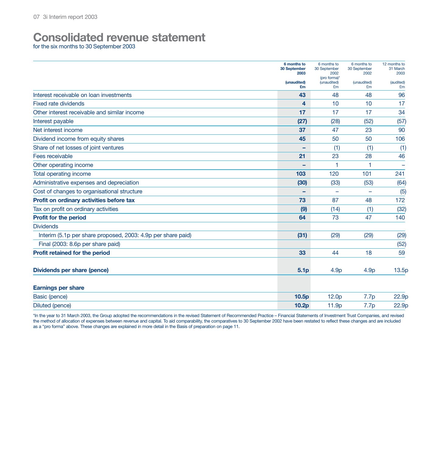# **Consolidated revenue statement**

for the six months to 30 September 2003

|                                                              | 6 months to<br>30 September<br>2003 | 6 months to<br>30 September<br>2002 | 6 months to<br>30 September<br>2002 | 12 months to<br>31 March<br>2003 |
|--------------------------------------------------------------|-------------------------------------|-------------------------------------|-------------------------------------|----------------------------------|
|                                                              | (unaudited)<br>£m                   | (pro forma)*<br>(unaudited)<br>£m   | (unaudited)<br>£m                   | (audited)<br>£m                  |
| Interest receivable on loan investments                      | 43                                  | 48                                  | 48                                  | 96                               |
| <b>Fixed rate dividends</b>                                  | 4                                   | 10                                  | 10                                  | 17                               |
| Other interest receivable and similar income                 | 17                                  | 17                                  | 17                                  | 34                               |
| Interest payable                                             | (27)                                | (28)                                | (52)                                | (57)                             |
| Net interest income                                          | 37                                  | 47                                  | 23                                  | 90                               |
| Dividend income from equity shares                           | 45                                  | 50                                  | 50                                  | 106                              |
| Share of net losses of joint ventures                        |                                     | (1)                                 | (1)                                 | (1)                              |
| Fees receivable                                              | 21                                  | 23                                  | 28                                  | 46                               |
| Other operating income                                       | -                                   | 1                                   | 1                                   |                                  |
| Total operating income                                       | 103                                 | 120                                 | 101                                 | 241                              |
| Administrative expenses and depreciation                     | (30)                                | (33)                                | (53)                                | (64)                             |
| Cost of changes to organisational structure                  |                                     | $\overline{\phantom{0}}$            |                                     | (5)                              |
| Profit on ordinary activities before tax                     | 73                                  | 87                                  | 48                                  | 172                              |
| Tax on profit on ordinary activities                         | (9)                                 | (14)                                | (1)                                 | (32)                             |
| <b>Profit for the period</b>                                 | 64                                  | 73                                  | 47                                  | 140                              |
| <b>Dividends</b>                                             |                                     |                                     |                                     |                                  |
| Interim (5.1p per share proposed, 2003: 4.9p per share paid) | (31)                                | (29)                                | (29)                                | (29)                             |
| Final (2003: 8.6p per share paid)                            |                                     |                                     |                                     | (52)                             |
| Profit retained for the period                               | 33                                  | 44                                  | 18                                  | 59                               |
| Dividends per share (pence)                                  | 5.1 <sub>p</sub>                    | 4.9 <sub>p</sub>                    | 4.9 <sub>p</sub>                    | 13.5p                            |
|                                                              |                                     |                                     |                                     |                                  |
| <b>Earnings per share</b>                                    |                                     |                                     |                                     |                                  |
| Basic (pence)                                                | 10.5 <sub>p</sub>                   | 12.0 <sub>p</sub>                   | 7.7p                                | 22.9p                            |
| Diluted (pence)                                              | 10.2 <sub>D</sub>                   | 11.9 <sub>p</sub>                   | 7.7p                                | 22.9p                            |

\*In the year to 31 March 2003, the Group adopted the recommendations in the revised Statement of Recommended Practice – Financial Statements of Investment Trust Companies, and revised the method of allocation of expenses between revenue and capital. To aid comparability, the comparatives to 30 September 2002 have been restated to reflect these changes and are included as a "pro forma" above. These changes are explained in more detail in the Basis of preparation on page 11.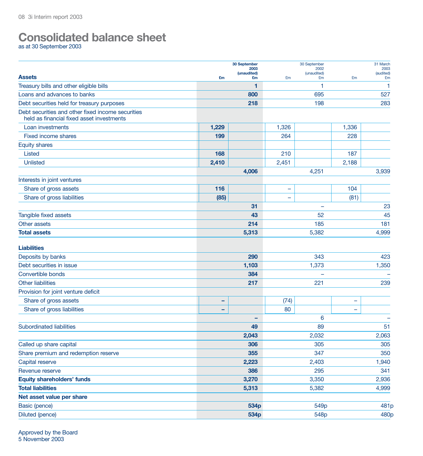# **Consolidated balance sheet**

as at 30 September 2003

|                                                   |       | 30 September<br>2003 |       | 30 September        |                          | 31 March<br>2003 |
|---------------------------------------------------|-------|----------------------|-------|---------------------|--------------------------|------------------|
| <b>Assets</b>                                     |       | (unaudited)          |       | 2002<br>(unaudited) |                          | (audited)        |
| Treasury bills and other eligible bills           | £m    | £m<br>1              | £m    | £m<br>1             | £m                       | £m<br>1          |
| Loans and advances to banks                       |       | 800                  |       | 695                 |                          | 527              |
| Debt securities held for treasury purposes        |       | 218                  |       | 198                 |                          | 283              |
| Debt securities and other fixed income securities |       |                      |       |                     |                          |                  |
| held as financial fixed asset investments         |       |                      |       |                     |                          |                  |
| Loan investments                                  | 1,229 |                      | 1,326 |                     | 1,336                    |                  |
| <b>Fixed income shares</b>                        | 199   |                      | 264   |                     | 228                      |                  |
| <b>Equity shares</b>                              |       |                      |       |                     |                          |                  |
| Listed                                            | 168   |                      | 210   |                     | 187                      |                  |
| <b>Unlisted</b>                                   | 2,410 |                      | 2,451 |                     | 2,188                    |                  |
|                                                   |       | 4,006                |       | 4,251               |                          | 3,939            |
| Interests in joint ventures                       |       |                      |       |                     |                          |                  |
| Share of gross assets                             | 116   |                      | -     |                     | 104                      |                  |
| Share of gross liabilities                        | (85)  |                      | -     |                     | (81)                     |                  |
|                                                   |       | 31                   |       | ۰                   |                          | 23               |
| Tangible fixed assets                             |       | 43                   |       | 52                  |                          | 45               |
| Other assets                                      |       | 214                  |       | 185                 |                          | 181              |
| <b>Total assets</b>                               |       | 5,313                |       | 5,382               |                          | 4,999            |
| <b>Liabilities</b>                                |       |                      |       |                     |                          |                  |
| Deposits by banks                                 |       | 290                  |       | 343                 |                          | 423              |
| Debt securities in issue                          |       | 1,103                |       | 1,373               |                          | 1,350            |
| Convertible bonds                                 |       | 384                  |       |                     |                          |                  |
| <b>Other liabilities</b>                          |       | 217                  |       | 221                 | 239                      |                  |
| Provision for joint venture deficit               |       |                      |       |                     |                          |                  |
| Share of gross assets                             | -     |                      | (74)  |                     | $\overline{\phantom{0}}$ |                  |
| Share of gross liabilities                        | -     |                      | 80    |                     | $\overline{\phantom{0}}$ |                  |
|                                                   |       | -                    |       | 6                   |                          |                  |
| <b>Subordinated liabilities</b>                   |       | 49                   |       | 89                  |                          | 51               |
|                                                   |       | 2,043                |       | 2,032               |                          | 2,063            |
| Called up share capital                           |       | 306                  |       | 305                 |                          | 305              |
| Share premium and redemption reserve              |       | 355                  |       | 347                 |                          | 350              |
| Capital reserve                                   |       | 2,223                |       | 2,403               |                          | 1,940            |
| Revenue reserve                                   |       | 386                  |       | 295                 |                          | 341              |
| <b>Equity shareholders' funds</b>                 |       | 3,270                |       | 3,350               |                          | 2,936            |
| <b>Total liabilities</b>                          |       | 5,313                |       | 5,382               |                          | 4,999            |
| Net asset value per share                         |       |                      |       |                     |                          |                  |
| Basic (pence)                                     |       | 534p                 |       | 549p                |                          | 481p             |
| Diluted (pence)                                   |       | 534p                 |       | 548p                |                          | 480p             |
|                                                   |       |                      |       |                     |                          |                  |

Approved by the Board 5 November 2003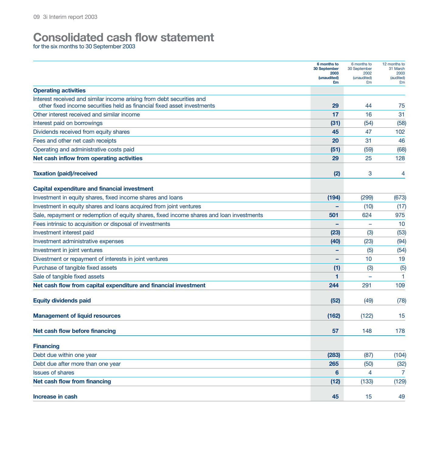# **Consolidated cash flow statement**

for the six months to 30 September 2003

|                                                                                          | 6 months to<br>30 September | 6 months to<br>30 September | 12 months to<br>31 March |
|------------------------------------------------------------------------------------------|-----------------------------|-----------------------------|--------------------------|
|                                                                                          | 2003<br>(unaudited)         | 2002<br>(unaudited)         | 2003<br>(audited)        |
| <b>Operating activities</b>                                                              | £m                          | £m                          | £m                       |
| Interest received and similar income arising from debt securities and                    |                             |                             |                          |
| other fixed income securities held as financial fixed asset investments                  | 29                          | 44                          | 75                       |
| Other interest received and similar income                                               | 17                          | 16                          | 31                       |
| Interest paid on borrowings                                                              | (31)                        | (54)                        | (58)                     |
| Dividends received from equity shares                                                    | 45                          | 47                          | 102                      |
| Fees and other net cash receipts                                                         | 20                          | 31                          | 46                       |
| Operating and administrative costs paid                                                  | (51)                        | (59)                        | (68)                     |
| Net cash inflow from operating activities                                                | 29                          | 25                          | 128                      |
| <b>Taxation (paid)/received</b>                                                          | (2)                         | 3                           | 4                        |
| <b>Capital expenditure and financial investment</b>                                      |                             |                             |                          |
| Investment in equity shares, fixed income shares and loans                               | (194)                       | (299)                       | (673)                    |
| Investment in equity shares and loans acquired from joint ventures                       |                             | (10)                        | (17)                     |
| Sale, repayment or redemption of equity shares, fixed income shares and loan investments | 501                         | 624                         | 975                      |
| Fees intrinsic to acquisition or disposal of investments                                 |                             | $\equiv$                    | 10                       |
| Investment interest paid                                                                 | (23)                        | (3)                         | (53)                     |
| Investment administrative expenses                                                       | (40)                        | (23)                        | (94)                     |
| Investment in joint ventures                                                             |                             | (5)                         | (54)                     |
| Divestment or repayment of interests in joint ventures                                   |                             | 10                          | 19                       |
| Purchase of tangible fixed assets                                                        | (1)                         | (3)                         | (5)                      |
| Sale of tangible fixed assets                                                            | 1                           |                             | 1                        |
| Net cash flow from capital expenditure and financial investment                          | 244                         | 291                         | 109                      |
| <b>Equity dividends paid</b>                                                             | (52)                        | (49)                        | (78)                     |
| <b>Management of liquid resources</b>                                                    | (162)                       | (122)                       | 15                       |
| Net cash flow before financing                                                           | 57                          | 148                         | 178                      |
| <b>Financing</b>                                                                         |                             |                             |                          |
| Debt due within one year                                                                 | (283)                       | (87)                        | (104)                    |
| Debt due after more than one year                                                        | 265                         | (50)                        | (32)                     |
| <b>Issues of shares</b>                                                                  | $6 \,$                      | 4                           | $\overline{7}$           |
| Net cash flow from financing                                                             | (12)                        | (133)                       | (129)                    |
| Increase in cash                                                                         | 45                          | 15                          | 49                       |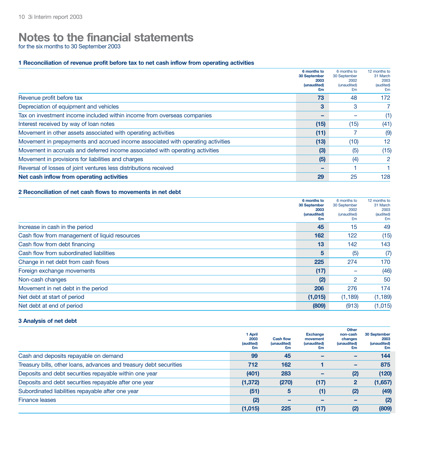# **Notes to the financial statements**

for the six months to 30 September 2003

#### **1 Reconciliation of revenue profit before tax to net cash inflow from operating activities**

|                                                                                 | 6 months to<br>30 September<br>2003<br>(unaudited)<br>£m | 6 months to<br>30 September<br>2002<br>(unaudited)<br>£m | 12 months to<br>31 March<br>2003<br>(audited)<br>£m |
|---------------------------------------------------------------------------------|----------------------------------------------------------|----------------------------------------------------------|-----------------------------------------------------|
| Revenue profit before tax                                                       | 73                                                       | 48                                                       | 172                                                 |
| Depreciation of equipment and vehicles                                          | 3                                                        | 3                                                        |                                                     |
| Tax on investment income included within income from overseas companies         |                                                          |                                                          | (1)                                                 |
| Interest received by way of loan notes                                          | (15)                                                     | (15)                                                     | (41)                                                |
| Movement in other assets associated with operating activities                   | (11)                                                     |                                                          | (9)                                                 |
| Movement in prepayments and accrued income associated with operating activities | (13)                                                     | (10)                                                     | $12 \overline{ }$                                   |
| Movement in accruals and deferred income associated with operating activities   | (3)                                                      | (5)                                                      | (15)                                                |
| Movement in provisions for liabilities and charges                              | (5)                                                      | (4)                                                      | 2                                                   |
| Reversal of losses of joint ventures less distributions received                |                                                          |                                                          |                                                     |
| Net cash inflow from operating activities                                       | 29                                                       | 25                                                       | 128                                                 |

### **2 Reconciliation of net cash flows to movements in net debt**

|                                               | 6 months to<br>30 September<br>2003<br>(unaudited)<br>£m | 6 months to<br>30 September<br>2002<br>(unaudited)<br>£m | 12 months to<br>31 March<br>2003<br>(audited)<br>£m |
|-----------------------------------------------|----------------------------------------------------------|----------------------------------------------------------|-----------------------------------------------------|
| Increase in cash in the period                | 45                                                       | 15                                                       | 49                                                  |
| Cash flow from management of liquid resources | 162                                                      | 122                                                      | (15)                                                |
| Cash flow from debt financing                 | 13                                                       | 142                                                      | 143                                                 |
| Cash flow from subordinated liabilities       | 5                                                        | (5)                                                      | (7)                                                 |
| Change in net debt from cash flows            | 225                                                      | 274                                                      | 170                                                 |
| Foreign exchange movements                    | (17)                                                     |                                                          | (46)                                                |
| Non-cash changes                              | (2)                                                      | 2                                                        | 50                                                  |
| Movement in net debt in the period            | 206                                                      | 276                                                      | 174                                                 |
| Net debt at start of period                   | (1,015)                                                  | (1, 189)                                                 | (1, 189)                                            |
| Net debt at end of period                     | (809)                                                    | (913)                                                    | (1,015)                                             |

### **3 Analysis of net debt**

|                                                                    | 1 April<br>2003<br>(audited)<br>£m | <b>Cash flow</b><br>(unaudited)<br>£m | <b>Exchange</b><br>movement<br>(unaudited)<br>£m | Other<br>non-cash<br>changes<br>(unaudited)<br>£m | 30 September<br>2003<br>(unaudited)<br>£m |
|--------------------------------------------------------------------|------------------------------------|---------------------------------------|--------------------------------------------------|---------------------------------------------------|-------------------------------------------|
| Cash and deposits repayable on demand                              | 99                                 | 45                                    |                                                  |                                                   | 144                                       |
| Treasury bills, other loans, advances and treasury debt securities | 712                                | 162                                   |                                                  | -                                                 | 875                                       |
| Deposits and debt securities repayable within one year             | (401)                              | 283                                   |                                                  | (2)                                               | (120)                                     |
| Deposits and debt securities repayable after one year              | (1, 372)                           | (270)                                 | (17)                                             | $\mathbf{2}$                                      | (1,657)                                   |
| Subordinated liabilities repayable after one year                  | (51)                               | 5                                     | (1)                                              | (2)                                               | (49)                                      |
| <b>Finance leases</b>                                              | (2)                                |                                       |                                                  |                                                   | (2)                                       |
|                                                                    | (1,015)                            | 225                                   | (17)                                             | (2)                                               | (809)                                     |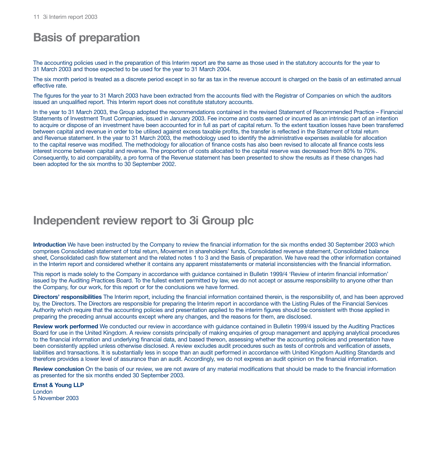# **Basis of preparation**

The accounting policies used in the preparation of this Interim report are the same as those used in the statutory accounts for the year to 31 March 2003 and those expected to be used for the year to 31 March 2004.

The six month period is treated as a discrete period except in so far as tax in the revenue account is charged on the basis of an estimated annual effective rate.

The figures for the year to 31 March 2003 have been extracted from the accounts filed with the Registrar of Companies on which the auditors issued an unqualified report. This Interim report does not constitute statutory accounts.

In the year to 31 March 2003, the Group adopted the recommendations contained in the revised Statement of Recommended Practice – Financial Statements of Investment Trust Companies, issued in January 2003. Fee income and costs earned or incurred as an intrinsic part of an intention to acquire or dispose of an investment have been accounted for in full as part of capital return. To the extent taxation losses have been transferred between capital and revenue in order to be utilised against excess taxable profits, the transfer is reflected in the Statement of total return and Revenue statement. In the year to 31 March 2003, the methodology used to identify the administrative expenses available for allocation to the capital reserve was modified. The methodology for allocation of finance costs has also been revised to allocate all finance costs less interest income between capital and revenue. The proportion of costs allocated to the capital reserve was decreased from 80% to 70%. Consequently, to aid comparability, a pro forma of the Revenue statement has been presented to show the results as if these changes had been adopted for the six months to 30 September 2002.

## **Independent review report to 3i Group plc**

**Introduction** We have been instructed by the Company to review the financial information for the six months ended 30 September 2003 which comprises Consolidated statement of total return, Movement in shareholders' funds, Consolidated revenue statement, Consolidated balance sheet, Consolidated cash flow statement and the related notes 1 to 3 and the Basis of preparation. We have read the other information contained in the Interim report and considered whether it contains any apparent misstatements or material inconsistencies with the financial information.

This report is made solely to the Company in accordance with guidance contained in Bulletin 1999/4 'Review of interim financial information' issued by the Auditing Practices Board. To the fullest extent permitted by law, we do not accept or assume responsibility to anyone other than the Company, for our work, for this report or for the conclusions we have formed.

**Directors' responsibilities** The Interim report, including the financial information contained therein, is the responsibility of, and has been approved by, the Directors. The Directors are responsible for preparing the Interim report in accordance with the Listing Rules of the Financial Services Authority which require that the accounting policies and presentation applied to the interim figures should be consistent with those applied in preparing the preceding annual accounts except where any changes, and the reasons for them, are disclosed.

**Review work performed** We conducted our review in accordance with guidance contained in Bulletin 1999/4 issued by the Auditing Practices Board for use in the United Kingdom. A review consists principally of making enquiries of group management and applying analytical procedures to the financial information and underlying financial data, and based thereon, assessing whether the accounting policies and presentation have been consistently applied unless otherwise disclosed. A review excludes audit procedures such as tests of controls and verification of assets, liabilities and transactions. It is substantially less in scope than an audit performed in accordance with United Kingdom Auditing Standards and therefore provides a lower level of assurance than an audit. Accordingly, we do not express an audit opinion on the financial information.

**Review conclusion** On the basis of our review, we are not aware of any material modifications that should be made to the financial information as presented for the six months ended 30 September 2003.

**Ernst & Young LLP** London 5 November 2003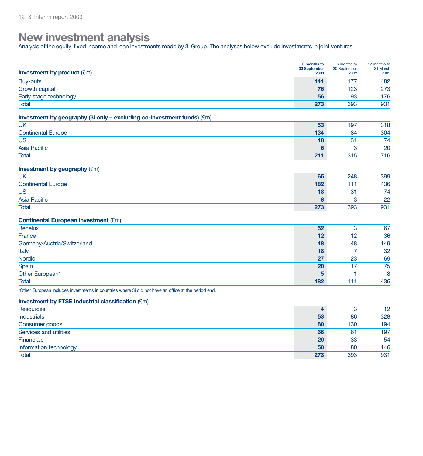## **New investment analysis**

Analysis of the equity, fixed income and loan investments made by 3i Group. The analyses below exclude investments in joint ventures.

| <b>Investment by product (£m)</b>                                                                    | 6 months to<br>30 September<br>2003 | 6 months to<br>30 September<br>2002 | 12 months to<br>31 March<br>2003 |
|------------------------------------------------------------------------------------------------------|-------------------------------------|-------------------------------------|----------------------------------|
| <b>Buy-outs</b>                                                                                      | 141                                 | 177                                 | 482                              |
| <b>Growth capital</b>                                                                                | 76                                  | 123                                 | 273                              |
| Early stage technology                                                                               | 56                                  | 93                                  | 176                              |
| Total                                                                                                | 273                                 | 393                                 | 931                              |
| Investment by geography (3i only - excluding co-investment funds) (£m)                               |                                     |                                     |                                  |
| UK                                                                                                   | 53                                  | 197                                 | 318                              |
| <b>Continental Europe</b>                                                                            | 134                                 | 84                                  | 304                              |
| <b>US</b>                                                                                            | 18                                  | 31                                  | 74                               |
| <b>Asia Pacific</b>                                                                                  | $6\phantom{a}$                      | 3                                   | 20                               |
| <b>Total</b>                                                                                         | 211                                 | 315                                 | 716                              |
| <b>Investment by geography (£m)</b>                                                                  |                                     |                                     |                                  |
| <b>UK</b>                                                                                            | 65                                  | 248                                 | 399                              |
| <b>Continental Europe</b>                                                                            | 182                                 | 111                                 | 436                              |
| US                                                                                                   | 18                                  | 31                                  | 74                               |
| <b>Asia Pacific</b>                                                                                  | 8                                   | 3                                   | 22                               |
| Total                                                                                                | 273                                 | 393                                 | 931                              |
| <b>Continental European investment (£m)</b>                                                          |                                     |                                     |                                  |
| <b>Benelux</b>                                                                                       | 52                                  | 3                                   | 67                               |
| France                                                                                               | 12                                  | 12                                  | 36                               |
| Germany/Austria/Switzerland                                                                          | 48                                  | 48                                  | 149                              |
| Italy                                                                                                | 18                                  | $\overline{7}$                      | 32                               |
| Nordic                                                                                               | 27                                  | 23                                  | 69                               |
| Spain                                                                                                | 20                                  | 17                                  | 75                               |
| Other European*                                                                                      | 5                                   | 1                                   | 8                                |
| Total                                                                                                | 182                                 | 111                                 | 436                              |
| *Other European includes investments in countries where 3i did not have an office at the period end. |                                     |                                     |                                  |
| <b>Investment by FTSE industrial classification (£m)</b>                                             |                                     |                                     |                                  |
| <b>Resources</b>                                                                                     | 4                                   | 3                                   | $\overline{12}$                  |
| <b>Industrials</b>                                                                                   | 53                                  | 86                                  | 328                              |
| Consumer goods                                                                                       | 80                                  | 130                                 | 194                              |
| Services and utilities                                                                               | 66                                  | 61                                  | 197                              |
| Financials                                                                                           | 20                                  | 33                                  | 54                               |
| Information technology                                                                               | 50                                  | 80                                  | 146                              |
| Total                                                                                                | 273                                 | 393                                 | 931                              |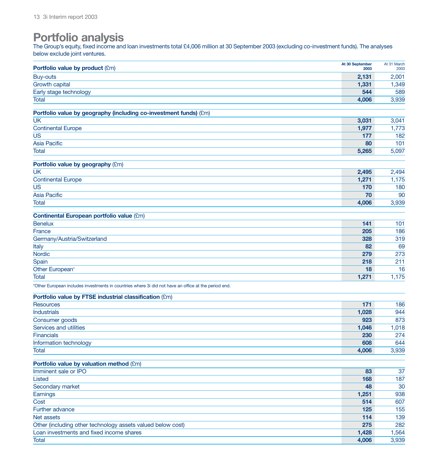# **Portfolio analysis**

The Group's equity, fixed income and loan investments total £4,006 million at 30 September 2003 (excluding co-investment funds). The analyses below exclude joint ventures.

| Portfolio value by product (£m)                                                                      | At 30 September<br>2003 | At 31 March<br>2003 |
|------------------------------------------------------------------------------------------------------|-------------------------|---------------------|
| <b>Buy-outs</b>                                                                                      | 2,131                   | 2,001               |
| <b>Growth capital</b>                                                                                | 1,331                   | 1,349               |
| Early stage technology                                                                               | 544                     | 589                 |
| <b>Total</b>                                                                                         | 4,006                   | 3,939               |
| Portfolio value by geography (including co-investment funds) (£m)                                    |                         |                     |
| <b>UK</b>                                                                                            | 3,031                   | 3,041               |
| <b>Continental Europe</b>                                                                            | 1,977                   | 1,773               |
| <b>US</b>                                                                                            | 177                     | 182                 |
| <b>Asia Pacific</b>                                                                                  | 80                      | 101                 |
| <b>Total</b>                                                                                         | 5,265                   | 5,097               |
|                                                                                                      |                         |                     |
| Portfolio value by geography (£m)                                                                    |                         |                     |
| <b>UK</b>                                                                                            | 2,495                   | 2,494               |
| <b>Continental Europe</b>                                                                            | 1,271                   | 1,175               |
| <b>US</b>                                                                                            | 170                     | 180                 |
| <b>Asia Pacific</b>                                                                                  | 70                      | 90                  |
| Total                                                                                                | 4,006                   | 3,939               |
| <b>Continental European portfolio value (£m)</b>                                                     |                         |                     |
| <b>Benelux</b>                                                                                       | 141                     | 101                 |
| France                                                                                               | 205                     | 186                 |
| Germany/Austria/Switzerland                                                                          | 328                     | 319                 |
| Italy                                                                                                | 82                      | 69                  |
| <b>Nordic</b>                                                                                        | 279                     | 273                 |
| Spain                                                                                                | 218                     | 211                 |
| Other European*                                                                                      | 18                      | 16                  |
| <b>Total</b>                                                                                         | 1,271                   | 1,175               |
| *Other European includes investments in countries where 3i did not have an office at the period end. |                         |                     |
| Portfolio value by FTSE industrial classification (£m)                                               |                         |                     |
| <b>Resources</b>                                                                                     | 171                     | 186                 |
| <b>Industrials</b>                                                                                   | 1,028                   | 944                 |
| Consumer goods                                                                                       | 923                     | 873                 |
| Services and utilities                                                                               | 1,046                   | 1,018               |
| <b>Financials</b>                                                                                    | 230                     | 274                 |
| Information technology                                                                               | 608                     | 644                 |
| <b>Total</b>                                                                                         | 4,006                   | 3,939               |
| Portfolio value by valuation method (£m)                                                             |                         |                     |
| Imminent sale or IPO                                                                                 | 83                      | 37                  |
| Listed                                                                                               | 168                     | 187                 |
| Secondary market                                                                                     | 48                      | 30                  |
| Earnings                                                                                             | 1,251                   | 938                 |
| Cost                                                                                                 | 514                     | 607                 |
| Further advance                                                                                      | 125                     | 155                 |
| Net assets                                                                                           | 114                     | 139                 |
| Other (including other technology assets valued below cost)                                          | 275                     | 282                 |
| Loan investments and fixed income shares                                                             | 1,428                   | 1,564               |
| Total                                                                                                | 4,006                   | 3,939               |
|                                                                                                      |                         |                     |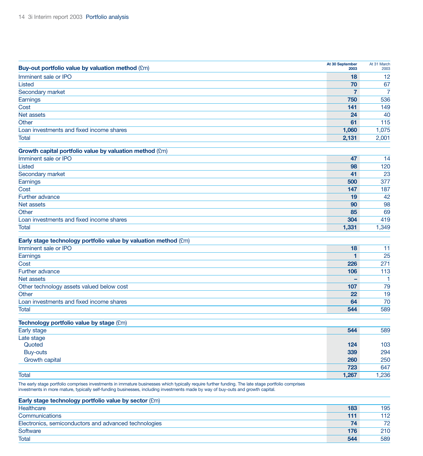| Buy-out portfolio value by valuation method (£m)                 | At 30 September<br>2003 | At 31 March<br>2003 |
|------------------------------------------------------------------|-------------------------|---------------------|
| Imminent sale or IPO                                             | 18                      | 12                  |
| Listed                                                           | 70                      | 67                  |
| Secondary market                                                 |                         |                     |
| Earnings                                                         | 750                     | 536                 |
| Cost                                                             | 141                     | 149                 |
| Net assets                                                       | 24                      | 40                  |
| Other                                                            | 61                      | 115                 |
| Loan investments and fixed income shares                         | 1,060                   | 1,075               |
| Total                                                            | 2,131                   | 2,001               |
| Growth capital portfolio value by valuation method $(\text{Em})$ |                         |                     |

| Imminent sale or IPO                     | 47    | 14    |
|------------------------------------------|-------|-------|
| Listed                                   | 98    | 120   |
| Secondary market                         | 41    | 23    |
| Earnings                                 | 500   | 377   |
| Cost                                     | 147   | 187   |
| Further advance                          | 19    | 42    |
| Net assets                               | 90    | 98    |
| Other                                    | 85    | 69    |
| Loan investments and fixed income shares | 304   | 419   |
| <b>Total</b>                             | 1,331 | 1,349 |

### **Early stage technology portfolio value by valuation method** (£m)

| Imminent sale or IPO                      | 18  |     |
|-------------------------------------------|-----|-----|
| Earnings                                  |     | 25  |
| Cost                                      | 226 | 271 |
| Further advance                           | 106 | 113 |
| Net assets                                |     |     |
| Other technology assets valued below cost | 107 | 79  |
| Other                                     | 22  | 19  |
| Loan investments and fixed income shares  | 64  | 70  |
| Total                                     | 544 | 589 |

| Technology portfolio value by stage (£m) |       |       |
|------------------------------------------|-------|-------|
| Early stage                              | 544   | 589   |
| Late stage                               |       |       |
| Quoted                                   | 124   | 103   |
| Buy-outs                                 | 339   | 294   |
| Growth capital                           | 260   | 250   |
|                                          | 723   | 647   |
| <b>Total</b>                             | 1,267 | 1,236 |

The early stage portfolio comprises investments in immature businesses which typically require further funding. The late stage portfolio comprises investments in more mature, typically self-funding businesses, including investments made by way of buy-outs and growth capital.

| Early stage technology portfolio value by sector $(\text{Em})$ |     |     |
|----------------------------------------------------------------|-----|-----|
| Healthcare                                                     | 183 | 195 |
| Communications                                                 | 111 | 112 |
| Electronics, semiconductors and advanced technologies          | 74  | 72  |
| Software                                                       | 176 | 210 |
| <b>Total</b>                                                   | 544 | 589 |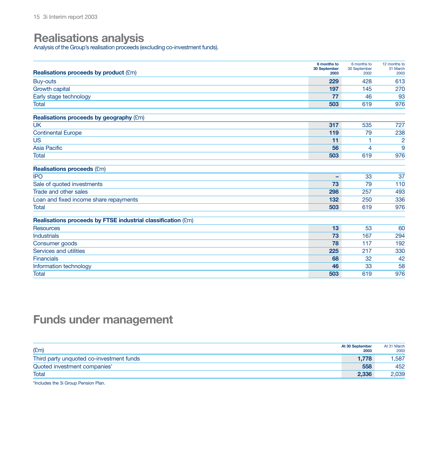## **Realisations analysis**

Analysis of the Group's realisation proceeds (excluding co-investment funds).

| <b>Realisations proceeds by product (£m)</b>                 | 6 months to<br>30 September<br>2003 | 6 months to<br>30 September<br>2002 | 12 months to<br>31 March<br>2003 |
|--------------------------------------------------------------|-------------------------------------|-------------------------------------|----------------------------------|
| Buy-outs                                                     | 229                                 | 428                                 | 613                              |
| Growth capital                                               | 197                                 | 145                                 | 270                              |
| Early stage technology                                       | 77                                  | 46                                  | 93                               |
| <b>Total</b>                                                 | 503                                 | 619                                 | 976                              |
| Realisations proceeds by geography (£m)                      |                                     |                                     |                                  |
| <b>UK</b>                                                    | 317                                 | 535                                 | 727                              |
| <b>Continental Europe</b>                                    | 119                                 | 79                                  | 238                              |
| <b>US</b>                                                    | 11                                  |                                     | $\overline{2}$                   |
| <b>Asia Pacific</b>                                          | 56                                  | 4                                   | 9                                |
| <b>Total</b>                                                 | 503                                 | 619                                 | 976                              |
| <b>Realisations proceeds (£m)</b>                            |                                     |                                     |                                  |
| <b>IPO</b>                                                   | -                                   | 33                                  | 37                               |
| Sale of quoted investments                                   | 73                                  | 79                                  | 110                              |
| Trade and other sales                                        | 298                                 | 257                                 | 493                              |
| Loan and fixed income share repayments                       | 132                                 | 250                                 | 336                              |
| <b>Total</b>                                                 | 503                                 | 619                                 | 976                              |
| Realisations proceeds by FTSE industrial classification (£m) |                                     |                                     |                                  |
| <b>Resources</b>                                             | 13                                  | 53                                  | 60                               |
| <b>Industrials</b>                                           | 73                                  | 167                                 | 294                              |
| Consumer goods                                               | 78                                  | 117                                 | 192                              |
| Services and utilities                                       | 225                                 | 217                                 | 330                              |
| <b>Financials</b>                                            | 68                                  | 32                                  | 42                               |
| Information technology                                       | 46                                  | 33                                  | 58                               |
| <b>Total</b>                                                 | 503                                 | 619                                 | 976                              |

# **Funds under management**

| E(m)                                     | At 30 September<br>2003 | At 31 March<br>2003 |
|------------------------------------------|-------------------------|---------------------|
| Third party unquoted co-investment funds | 1.778                   | .587                |
| Quoted investment companies*             | 558                     | 452                 |
| Total                                    | 2.336                   | 2,039               |

\*Includes the 3i Group Pension Plan.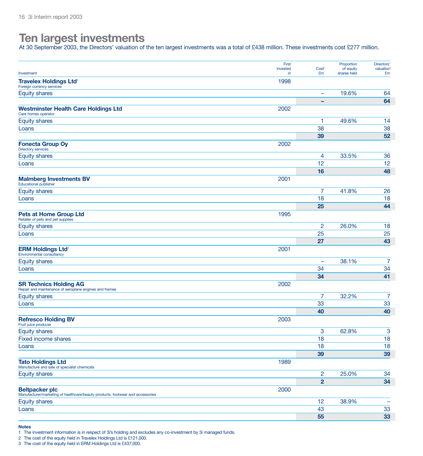# **Ten largest investments**

At 30 September 2003, the Directors' valuation of the ten largest investments was a total of £438 million. These investments cost £277 million.

| Investment                                                                                              | First<br>invested<br>in | Cost <sup>1</sup><br>£m      | Proportion<br>of equity<br>shares held | Directors'<br>valuation<br>£m |
|---------------------------------------------------------------------------------------------------------|-------------------------|------------------------------|----------------------------------------|-------------------------------|
| <b>Travelex Holdings Ltd<sup>2</sup></b><br>Foreign currency services                                   | 1998                    |                              |                                        |                               |
| <b>Equity shares</b>                                                                                    |                         | $\qquad \qquad \blacksquare$ | 19.6%                                  | 64                            |
|                                                                                                         |                         | ۰                            |                                        | 64                            |
| <b>Westminster Health Care Holdings Ltd</b><br>Care homes operator                                      | 2002                    |                              |                                        |                               |
| <b>Equity shares</b>                                                                                    |                         | 1                            | 49.6%                                  | 14                            |
| Loans                                                                                                   |                         | 38                           |                                        | 38                            |
|                                                                                                         |                         | 39                           |                                        | 52                            |
| <b>Fonecta Group Oy</b><br><b>Directory services</b>                                                    | 2002                    |                              |                                        |                               |
| <b>Equity shares</b>                                                                                    |                         | 4                            | 33.5%                                  | 36                            |
| Loans                                                                                                   |                         | 12                           |                                        | 12                            |
|                                                                                                         |                         | 16                           |                                        | 48                            |
| <b>Malmberg Investments BV</b><br><b>Educational publisher</b>                                          | 2001                    |                              |                                        |                               |
| <b>Equity shares</b>                                                                                    |                         | 7                            | 41.8%                                  | 26                            |
| Loans                                                                                                   |                         | 18                           |                                        | 18                            |
|                                                                                                         |                         | 25                           |                                        | 44                            |
| <b>Pets at Home Group Ltd</b><br>Retailer of pets and pet supplies                                      | 1995                    |                              |                                        |                               |
| <b>Equity shares</b>                                                                                    |                         | $\overline{c}$               | 26.0%                                  | 18                            |
| Loans                                                                                                   |                         | 25                           |                                        | 25                            |
|                                                                                                         |                         | 27                           |                                        | 43                            |
| <b>ERM Holdings Ltd<sup>3</sup></b><br>Environmental consultancy                                        | 2001                    |                              |                                        |                               |
| <b>Equity shares</b>                                                                                    |                         | ۰                            | 38.1%                                  | $\overline{7}$                |
| Loans                                                                                                   |                         | 34                           |                                        | 34                            |
|                                                                                                         |                         | 34                           |                                        | 41                            |
| <b>SR Technics Holding AG</b><br>Repair and maintenance of aeroplane engines and frames                 | 2002                    |                              |                                        |                               |
| <b>Equity shares</b>                                                                                    |                         | 7                            | 32.2%                                  | $\overline{7}$                |
| Loans                                                                                                   |                         | 33                           |                                        | 33                            |
|                                                                                                         |                         | 40                           |                                        | 40                            |
| <b>Refresco Holding BV</b><br>Fruit juice producer                                                      | 2003                    |                              |                                        |                               |
| <b>Equity shares</b>                                                                                    |                         | 3                            | 62.8%                                  | 3                             |
| Fixed income shares                                                                                     |                         | 18                           |                                        | 18                            |
| Loans                                                                                                   |                         | 18                           |                                        | 18                            |
|                                                                                                         |                         | 39                           |                                        | 39                            |
| <b>Tato Holdings Ltd</b><br>Manufacture and sale of specialist chemicals                                | 1989                    |                              |                                        |                               |
| <b>Equity shares</b>                                                                                    |                         | 2                            | 25.0%                                  | 34                            |
|                                                                                                         |                         | $\overline{2}$               |                                        | 34                            |
| <b>Beltpacker plc</b><br>Manufacturer/marketing of healthcare/beauty products, footwear and accessories | 2000                    |                              |                                        |                               |
| <b>Equity shares</b>                                                                                    |                         | 12                           | 38.9%                                  | $\qquad \qquad -$             |
| Loans                                                                                                   |                         | 43                           |                                        | 33                            |
|                                                                                                         |                         | 55                           |                                        | 33                            |

**Notes**

1 The investment information is in respect of 3i's holding and excludes any co-investment by 3i managed funds.

2 The cost of the equity held in Travelex Holdings Ltd is £121,000.

3 The cost of the equity held in ERM Holdings Ltd is £437,000.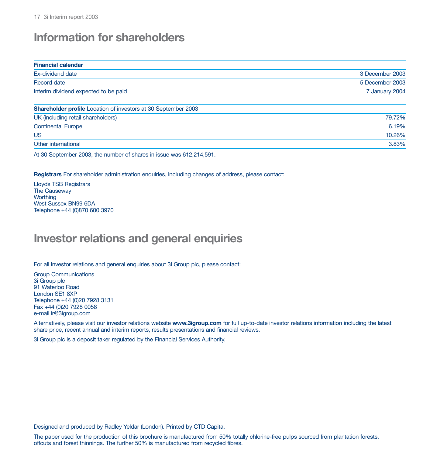# **Information for shareholders**

| <b>Financial calendar</b>                                             |                 |
|-----------------------------------------------------------------------|-----------------|
| Ex-dividend date                                                      | 3 December 2003 |
| Record date                                                           | 5 December 2003 |
| Interim dividend expected to be paid                                  | 7 January 2004  |
| <b>Shareholder profile</b> Location of investors at 30 September 2003 |                 |
| UK (including retail shareholders)                                    | 79.72%          |
| <b>Continental Europe</b>                                             | 6.19%           |
| <b>US</b>                                                             | 10.26%          |
| Other international                                                   | 3.83%           |

At 30 September 2003, the number of shares in issue was 612,214,591.

**Registrars** For shareholder administration enquiries, including changes of address, please contact:

Lloyds TSB Registrars The Causeway **Worthing** West Sussex BN99 6DA Telephone +44 (0)870 600 3970

## **Investor relations and general enquiries**

For all investor relations and general enquiries about 3i Group plc, please contact:

Group Communications 3i Group plc 91 Waterloo Road London SE1 8XP Telephone +44 (0)20 7928 3131 Fax +44 (0)20 7928 0058 e-mail ir@3igroup.com

Alternatively, please visit our investor relations website **www.3igroup.com** for full up-to-date investor relations information including the latest share price, recent annual and interim reports, results presentations and financial reviews.

3i Group plc is a deposit taker regulated by the Financial Services Authority.

Designed and produced by Radley Yeldar (London). Printed by CTD Capita.

The paper used for the production of this brochure is manufactured from 50% totally chlorine-free pulps sourced from plantation forests, offcuts and forest thinnings. The further 50% is manufactured from recycled fibres.